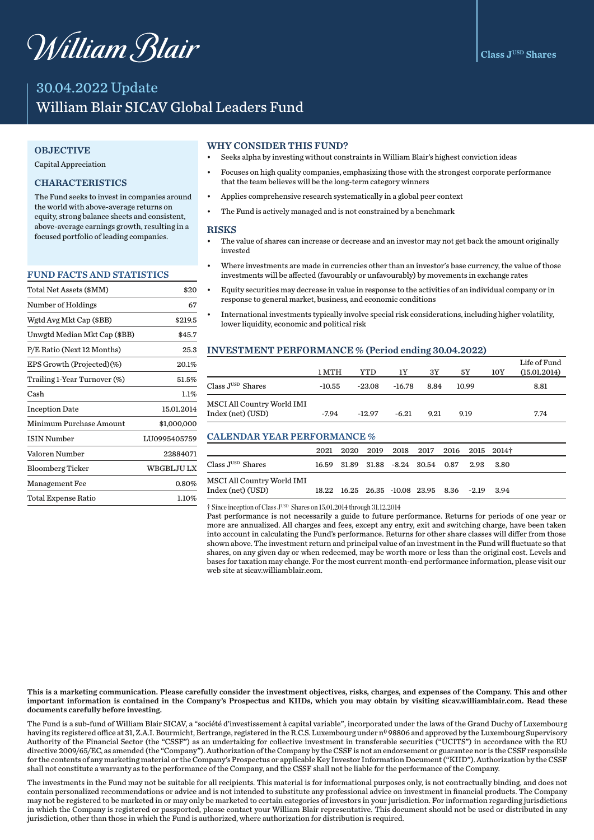# William Blair

# 30.04.2022 Update William Blair SICAV Global Leaders Fund

#### **OBJECTIVE**

Capital Appreciation

#### **CHARACTERISTICS**

The Fund seeks to invest in companies around the world with above-average returns on equity, strong balance sheets and consistent. above-average earnings growth, resulting in a focused portfolio of leading companies.

#### FUND FACTS AND STATISTICS

| Total Net Assets (\$MM)      | \$20             |
|------------------------------|------------------|
| Number of Holdings           | 67               |
| Wgtd Avg Mkt Cap (\$BB)      | \$219.5          |
| Unwgtd Median Mkt Cap (\$BB) | \$45.7           |
| P/E Ratio (Next 12 Months)   | 25.3             |
| EPS Growth (Projected)(%)    | 20.1%            |
| Trailing 1-Year Turnover (%) | 51.5%            |
| Cash                         | $1.1\%$          |
| <b>Inception Date</b>        | 15.01.2014       |
| Minimum Purchase Amount      | \$1,000,000      |
| <b>ISIN Number</b>           | LU0995405759     |
| Valoren Number               | 22884071         |
| <b>Bloomberg Ticker</b>      | <b>WBGBLJULX</b> |
| Management Fee               | 0.80%            |
| Total Expense Ratio          | 1.10%            |

#### WHY CONSIDER THIS FUND?

- Seeks alpha by investing without constraints in William Blair's highest conviction ideas
- Focuses on high quality companies, emphasizing those with the strongest corporate performance that the team believes will be the long-term category winners
- Applies comprehensive research systematically in a global peer context
- The Fund is actively managed and is not constrained by a benchmark

#### **RISKS**

- The value of shares can increase or decrease and an investor may not get back the amount originally invested
- Where investments are made in currencies other than an investor's base currency, the value of those investments will be affected (favourably or unfavourably) by movements in exchange rates
- Equity securities may decrease in value in response to the activities of an individual company or in response to general market, business, and economic conditions
- International investments typically involve special risk considerations, including higher volatility, lower liquidity, economic and political risk

## INVESTMENT PERFORMANCE % (Period ending 30.04.2022)

|                                                 | 1 MTH    | YTD      | 1Υ       | 3Y   | 5Υ    | 10Y | Life of Fund<br>(15.01.2014) |
|-------------------------------------------------|----------|----------|----------|------|-------|-----|------------------------------|
| Class J <sup>usn</sup> Shares                   | $-10.55$ | $-23.08$ | $-16.78$ | 8.84 | 10.99 |     | 8.81                         |
| MSCI All Country World IMI<br>Index (net) (USD) | $-7.94$  | $-12.97$ | $-6.21$  | 9.21 | 9.19  |     | 7.74                         |

## CALENDAR YEAR PERFORMANCE %

|                                               |  | 2021 2020 2019 2018 2017 2016 2015 2014†       |  |  |
|-----------------------------------------------|--|------------------------------------------------|--|--|
| Class $\mathrm{J}^{\text{\tiny{USD}}}$ Shares |  | 16.59 31.89 31.88 -8.24 30.54 0.87 2.93 3.80   |  |  |
| MSCI All Country World IMI                    |  |                                                |  |  |
| Index (net) (USD)                             |  | 18.22 16.25 26.35 -10.08 23.95 8.36 -2.19 3.94 |  |  |

† Since inception of Class JUSD Shares on 15.01.2014 through 31.12.2014

Past performance is not necessarily a guide to future performance. Returns for periods of one year or more are annualized. All charges and fees, except any entry, exit and switching charge, have been taken into account in calculating the Fund's performance. Returns for other share classes will differ from those shown above. The investment return and principal value of an investment in the Fund will fluctuate so that shares, on any given day or when redeemed, may be worth more or less than the original cost. Levels and bases for taxation may change. For the most current month-end performance information, please visit our web site at sicav.williamblair.com.

This is a marketing communication. Please carefully consider the investment objectives, risks, charges, and expenses of the Company. This and other important information is contained in the Company's Prospectus and KIIDs, which you may obtain by visiting sicav.williamblair.com. Read these documents carefully before investing.

The Fund is a sub-fund of William Blair SICAV, a "société d'investissement à capital variable", incorporated under the laws of the Grand Duchy of Luxembourg having its registered office at 31, Z.A.I. Bourmicht, Bertrange, registered in the R.C.S. Luxembourg under n<sup>0</sup> 98806 and approved by the Luxembourg Supervisory Authority of the Financial Sector (the "CSSF") as an undertaking for collective investment in transferable securities ("UCITS") in accordance with the EU directive 2009/65/EC, as amended (the "Company"). Authorization of the Company by the CSSF is not an endorsement or guarantee nor is the CSSF responsible for the contents of any marketing material or the Company's Prospectus or applicable Key Investor Information Document ("KIID"). Authorization by the CSSF shall not constitute a warranty as to the performance of the Company, and the CSSF shall not be liable for the performance of the Company.

The investments in the Fund may not be suitable for all recipients. This material is for informational purposes only, is not contractually binding, and does not contain personalized recommendations or advice and is not intended to substitute any professional advice on investment in financial products. The Company may not be registered to be marketed in or may only be marketed to certain categories of investors in your jurisdiction. For information regarding jurisdictions in which the Company is registered or passported, please contact your William Blair representative. This document should not be used or distributed in any jurisdiction, other than those in which the Fund is authorized, where authorization for distribution is required.